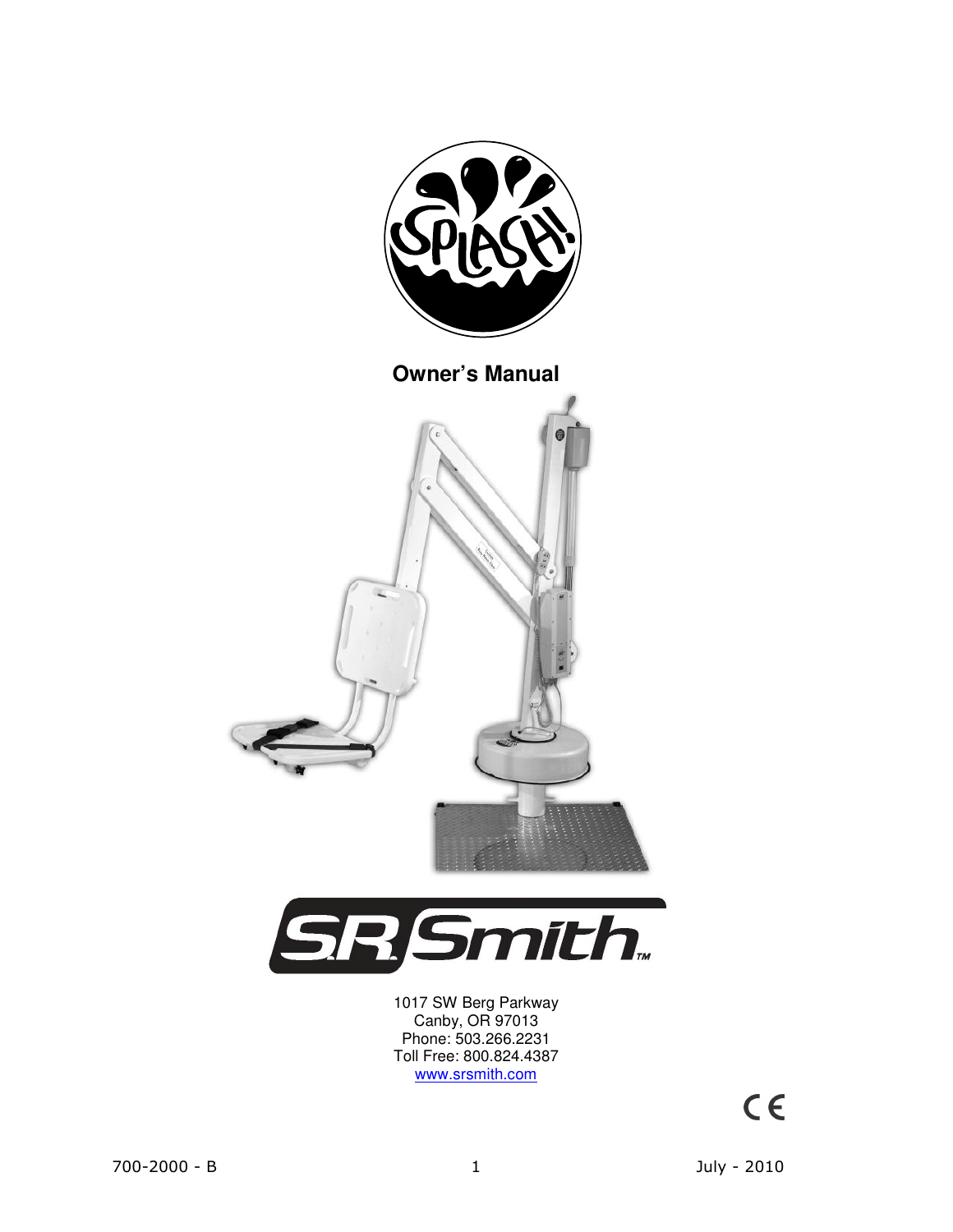



1017 SW Berg Parkway Canby, OR 97013 Phone: 503.266.2231 Toll Free: 800.824.4387 www.srsmith.com

 $C \in$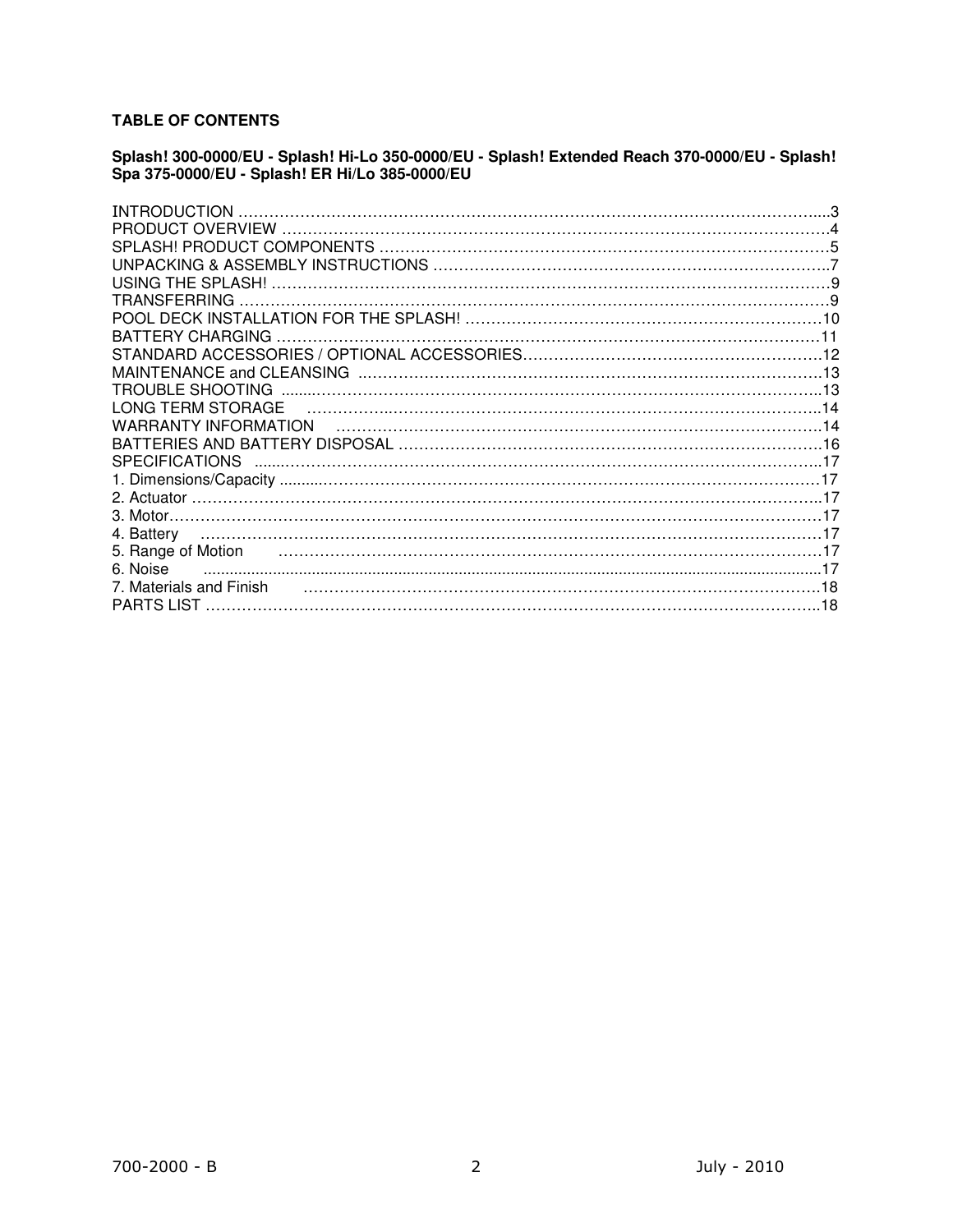## **TABLE OF CONTENTS**

## **Splash! 300-0000/EU - Splash! Hi-Lo 350-0000/EU - Splash! Extended Reach 370-0000/EU - Splash! Spa 375-0000/EU - Splash! ER Hi/Lo 385-0000/EU**

| INTRODUCTION            |  |
|-------------------------|--|
|                         |  |
|                         |  |
|                         |  |
|                         |  |
| TRANSFERRING            |  |
|                         |  |
| <b>BATTERY CHARGING</b> |  |
|                         |  |
|                         |  |
|                         |  |
| LONG TERM STORAGE       |  |
| WARRANTY INFORMATION    |  |
|                         |  |
| <b>SPECIFICATIONS</b>   |  |
|                         |  |
|                         |  |
|                         |  |
| 4. Battery              |  |
|                         |  |
| 6. Noise                |  |
| 7. Materials and Finish |  |
|                         |  |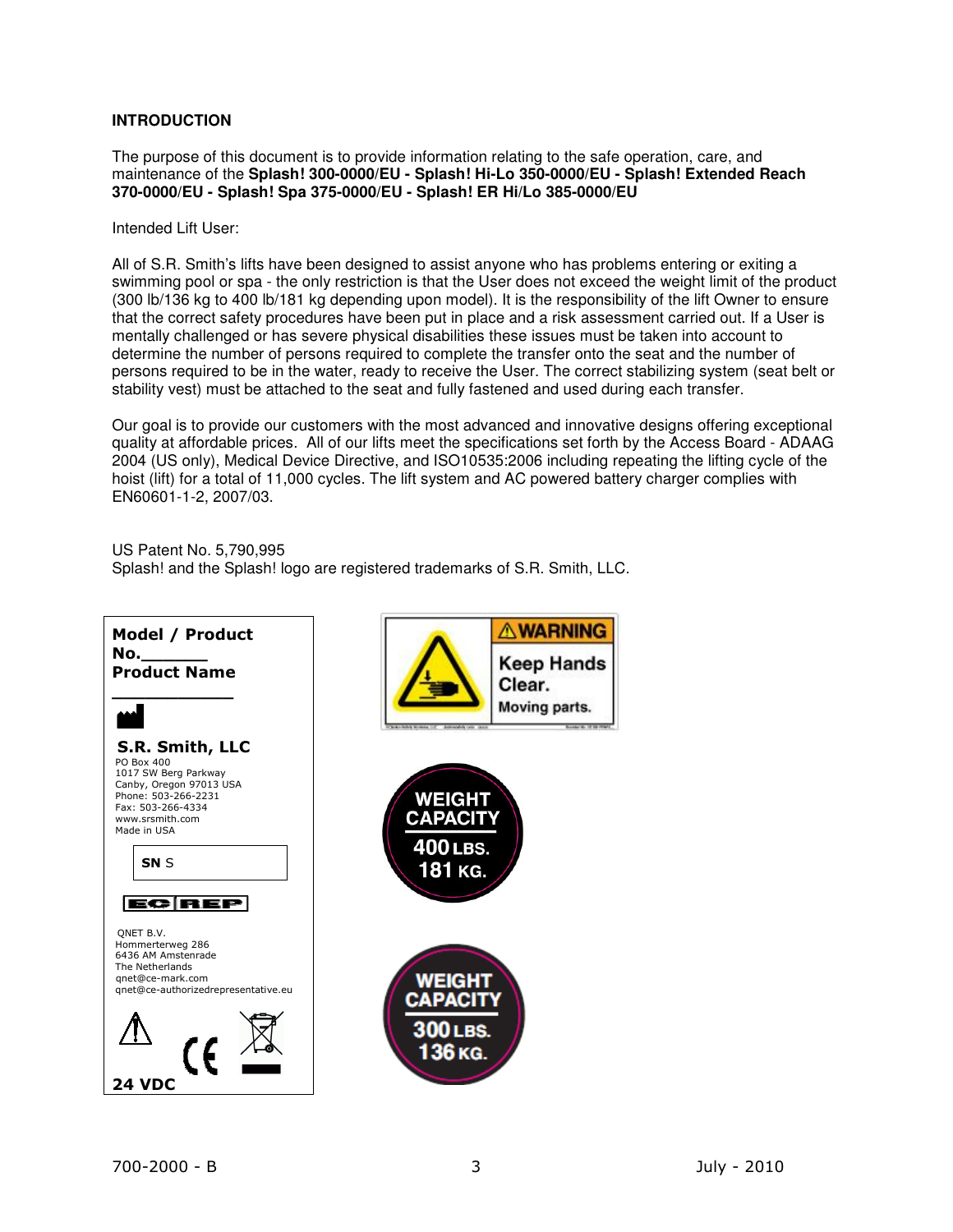## **INTRODUCTION**

The purpose of this document is to provide information relating to the safe operation, care, and maintenance of the **Splash! 300-0000/EU - Splash! Hi-Lo 350-0000/EU - Splash! Extended Reach 370-0000/EU - Splash! Spa 375-0000/EU - Splash! ER Hi/Lo 385-0000/EU** 

Intended Lift User:

All of S.R. Smith's lifts have been designed to assist anyone who has problems entering or exiting a swimming pool or spa - the only restriction is that the User does not exceed the weight limit of the product (300 lb/136 kg to 400 lb/181 kg depending upon model). It is the responsibility of the lift Owner to ensure that the correct safety procedures have been put in place and a risk assessment carried out. If a User is mentally challenged or has severe physical disabilities these issues must be taken into account to determine the number of persons required to complete the transfer onto the seat and the number of persons required to be in the water, ready to receive the User. The correct stabilizing system (seat belt or stability vest) must be attached to the seat and fully fastened and used during each transfer.

Our goal is to provide our customers with the most advanced and innovative designs offering exceptional quality at affordable prices. All of our lifts meet the specifications set forth by the Access Board - ADAAG 2004 (US only), Medical Device Directive, and ISO10535:2006 including repeating the lifting cycle of the hoist (lift) for a total of 11,000 cycles. The lift system and AC powered battery charger complies with EN60601-1-2, 2007/03.

US Patent No. 5,790,995 Splash! and the Splash! logo are registered trademarks of S.R. Smith, LLC.

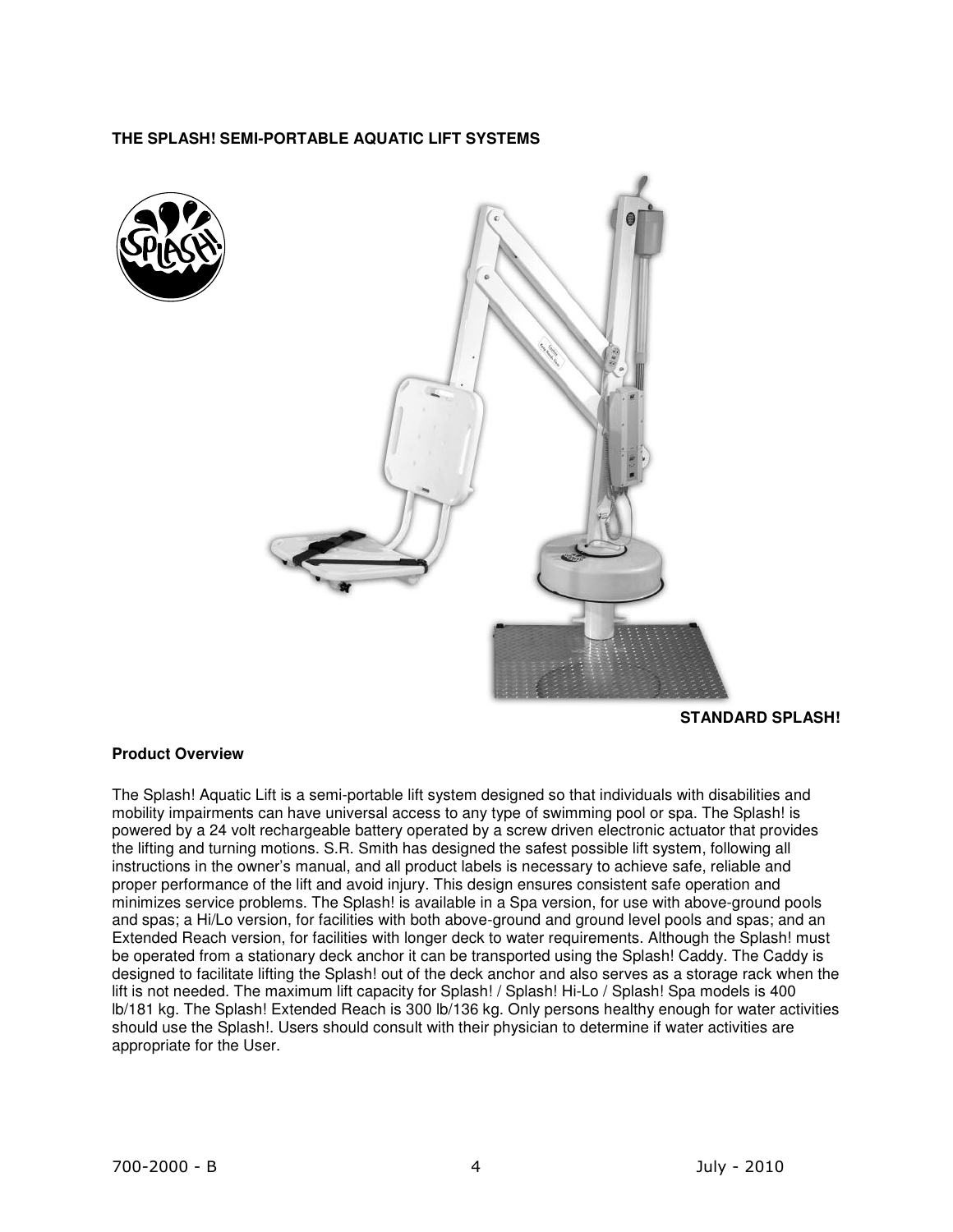## **THE SPLASH! SEMI-PORTABLE AQUATIC LIFT SYSTEMS**





**STANDARD SPLASH!** 

## **Product Overview**

The Splash! Aquatic Lift is a semi-portable lift system designed so that individuals with disabilities and mobility impairments can have universal access to any type of swimming pool or spa. The Splash! is powered by a 24 volt rechargeable battery operated by a screw driven electronic actuator that provides the lifting and turning motions. S.R. Smith has designed the safest possible lift system, following all instructions in the owner's manual, and all product labels is necessary to achieve safe, reliable and proper performance of the lift and avoid injury. This design ensures consistent safe operation and minimizes service problems. The Splash! is available in a Spa version, for use with above-ground pools and spas; a Hi/Lo version, for facilities with both above-ground and ground level pools and spas; and an Extended Reach version, for facilities with longer deck to water requirements. Although the Splash! must be operated from a stationary deck anchor it can be transported using the Splash! Caddy. The Caddy is designed to facilitate lifting the Splash! out of the deck anchor and also serves as a storage rack when the lift is not needed. The maximum lift capacity for Splash! / Splash! Hi-Lo / Splash! Spa models is 400 lb/181 kg. The Splash! Extended Reach is 300 lb/136 kg. Only persons healthy enough for water activities should use the Splash!. Users should consult with their physician to determine if water activities are appropriate for the User.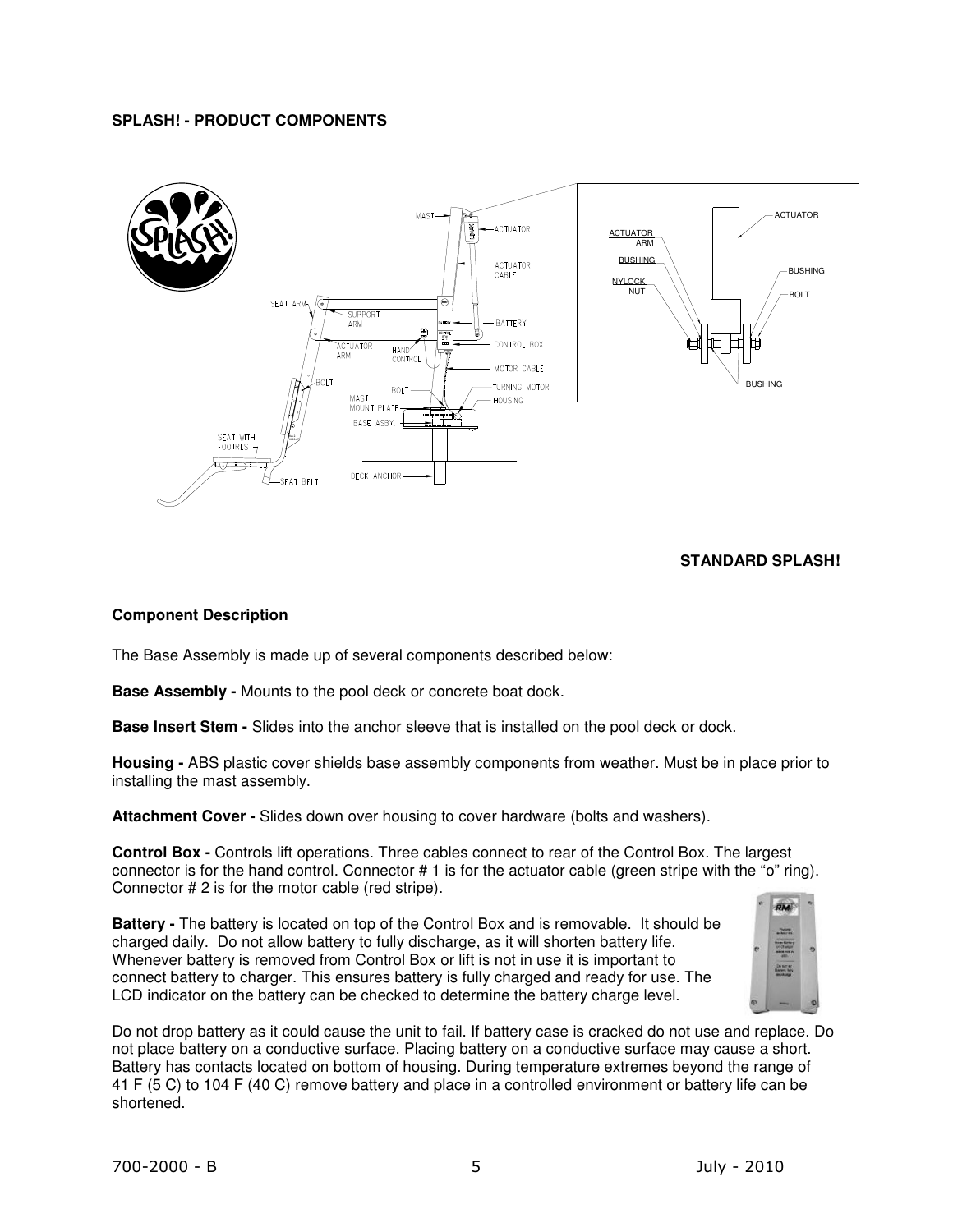## **SPLASH! - PRODUCT COMPONENTS**



## **STANDARD SPLASH!**

## **Component Description**

The Base Assembly is made up of several components described below:

**Base Assembly -** Mounts to the pool deck or concrete boat dock.

**Base Insert Stem -** Slides into the anchor sleeve that is installed on the pool deck or dock.

**Housing -** ABS plastic cover shields base assembly components from weather. Must be in place prior to installing the mast assembly.

**Attachment Cover -** Slides down over housing to cover hardware (bolts and washers).

**Control Box -** Controls lift operations. Three cables connect to rear of the Control Box. The largest connector is for the hand control. Connector # 1 is for the actuator cable (green stripe with the "o" ring). Connector # 2 is for the motor cable (red stripe).

**Battery -** The battery is located on top of the Control Box and is removable. It should be charged daily. Do not allow battery to fully discharge, as it will shorten battery life. Whenever battery is removed from Control Box or lift is not in use it is important to connect battery to charger. This ensures battery is fully charged and ready for use. The LCD indicator on the battery can be checked to determine the battery charge level.



Do not drop battery as it could cause the unit to fail. If battery case is cracked do not use and replace. Do not place battery on a conductive surface. Placing battery on a conductive surface may cause a short. Battery has contacts located on bottom of housing. During temperature extremes beyond the range of 41 F (5 C) to 104 F (40 C) remove battery and place in a controlled environment or battery life can be shortened.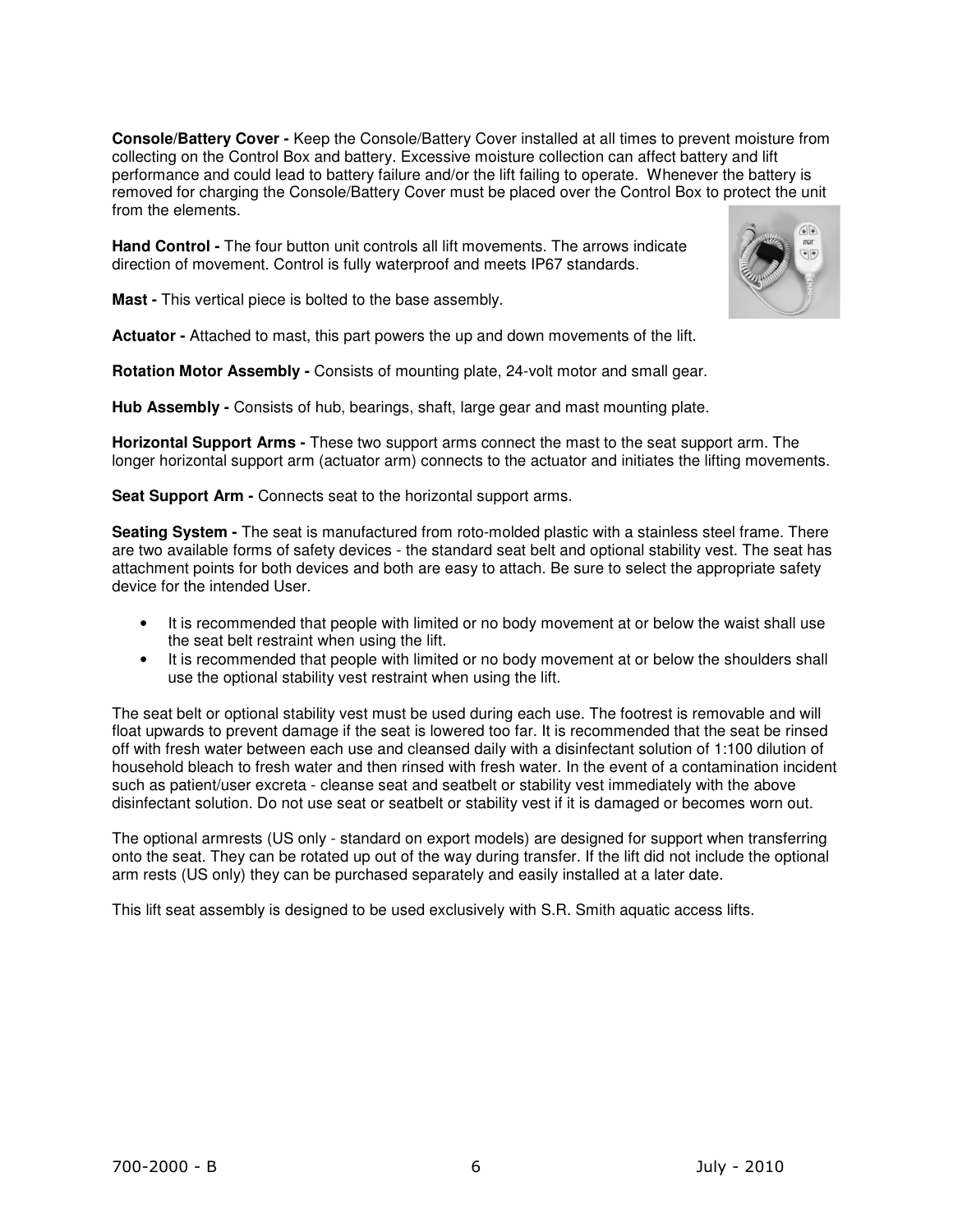**Console/Battery Cover -** Keep the Console/Battery Cover installed at all times to prevent moisture from collecting on the Control Box and battery. Excessive moisture collection can affect battery and lift performance and could lead to battery failure and/or the lift failing to operate. Whenever the battery is removed for charging the Console/Battery Cover must be placed over the Control Box to protect the unit from the elements.

**Hand Control -** The four button unit controls all lift movements. The arrows indicate direction of movement. Control is fully waterproof and meets IP67 standards.

**Mast -** This vertical piece is bolted to the base assembly.

**Actuator -** Attached to mast, this part powers the up and down movements of the lift.

**Rotation Motor Assembly -** Consists of mounting plate, 24-volt motor and small gear.

**Hub Assembly -** Consists of hub, bearings, shaft, large gear and mast mounting plate.

**Horizontal Support Arms -** These two support arms connect the mast to the seat support arm. The longer horizontal support arm (actuator arm) connects to the actuator and initiates the lifting movements.

**Seat Support Arm -** Connects seat to the horizontal support arms.

**Seating System -** The seat is manufactured from roto-molded plastic with a stainless steel frame. There are two available forms of safety devices - the standard seat belt and optional stability vest. The seat has attachment points for both devices and both are easy to attach. Be sure to select the appropriate safety device for the intended User.

- It is recommended that people with limited or no body movement at or below the waist shall use the seat belt restraint when using the lift.
- It is recommended that people with limited or no body movement at or below the shoulders shall use the optional stability vest restraint when using the lift.

The seat belt or optional stability vest must be used during each use. The footrest is removable and will float upwards to prevent damage if the seat is lowered too far. It is recommended that the seat be rinsed off with fresh water between each use and cleansed daily with a disinfectant solution of 1:100 dilution of household bleach to fresh water and then rinsed with fresh water. In the event of a contamination incident such as patient/user excreta - cleanse seat and seatbelt or stability vest immediately with the above disinfectant solution. Do not use seat or seatbelt or stability vest if it is damaged or becomes worn out.

The optional armrests (US only - standard on export models) are designed for support when transferring onto the seat. They can be rotated up out of the way during transfer. If the lift did not include the optional arm rests (US only) they can be purchased separately and easily installed at a later date.

This lift seat assembly is designed to be used exclusively with S.R. Smith aquatic access lifts.

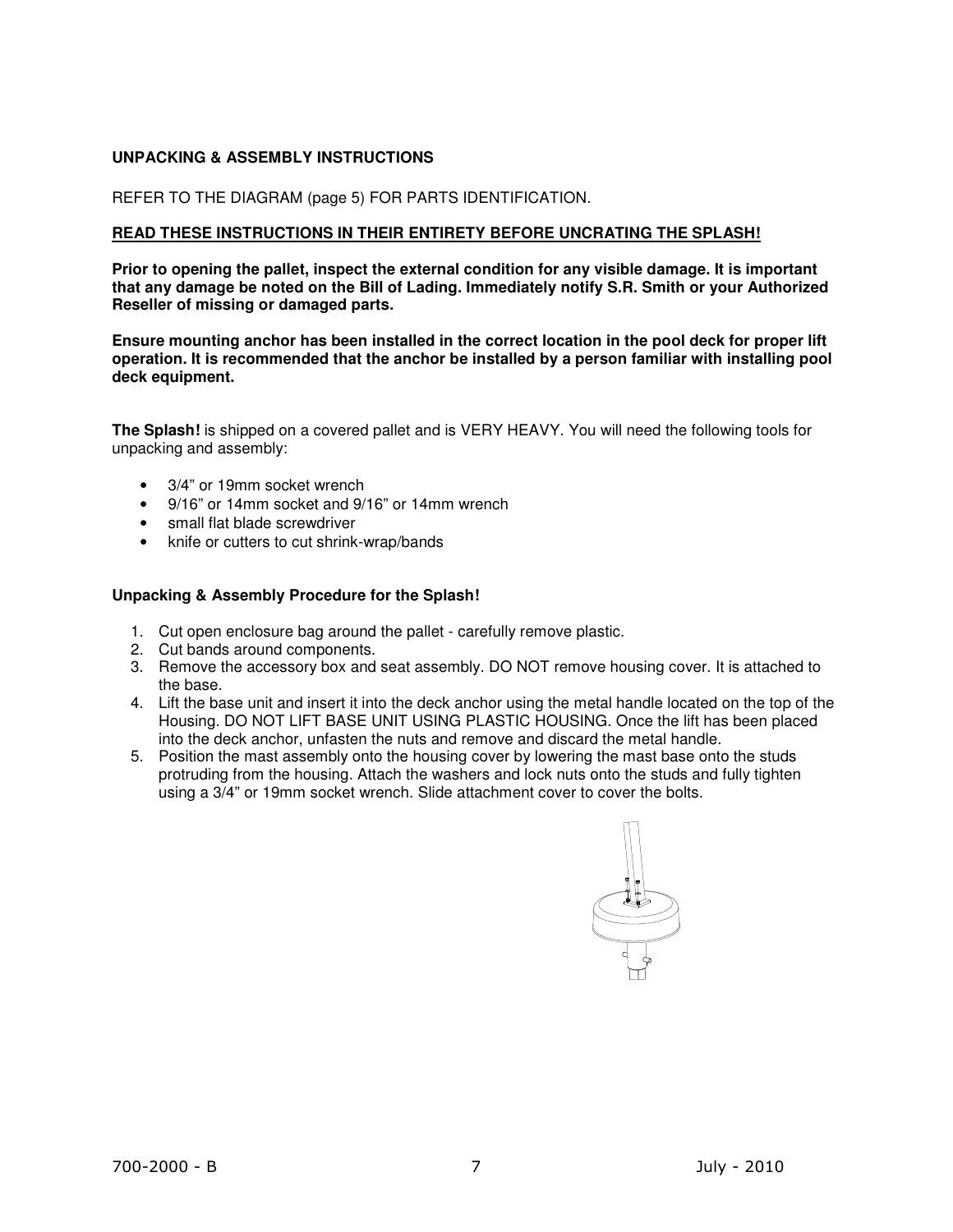# **UNPACKING & ASSEMBLY INSTRUCTIONS**

#### REFER TO THE DIAGRAM (page 5) FOR PARTS IDENTIFICATION.

#### **READ THESE INSTRUCTIONS IN THEIR ENTIRETY BEFORE UNCRATING THE SPLASH!**

**Prior to opening the pallet, inspect the external condition for any visible damage. It is important that any damage be noted on the Bill of Lading. Immediately notify S.R. Smith or your Authorized Reseller of missing or damaged parts.** 

**Ensure mounting anchor has been installed in the correct location in the pool deck for proper lift operation. It is recommended that the anchor be installed by a person familiar with installing pool deck equipment.** 

**The Splash!** is shipped on a covered pallet and is VERY HEAVY. You will need the following tools for unpacking and assembly:

- 3/4" or 19mm socket wrench
- 9/16" or 14mm socket and 9/16" or 14mm wrench
- small flat blade screwdriver
- knife or cutters to cut shrink-wrap/bands

## **Unpacking & Assembly Procedure for the Splash!**

- 1. Cut open enclosure bag around the pallet carefully remove plastic.
- 2. Cut bands around components.
- 3. Remove the accessory box and seat assembly. DO NOT remove housing cover. It is attached to the base.
- 4. Lift the base unit and insert it into the deck anchor using the metal handle located on the top of the Housing. DO NOT LIFT BASE UNIT USING PLASTIC HOUSING. Once the lift has been placed into the deck anchor, unfasten the nuts and remove and discard the metal handle.
- 5. Position the mast assembly onto the housing cover by lowering the mast base onto the studs protruding from the housing. Attach the washers and lock nuts onto the studs and fully tighten using a 3/4" or 19mm socket wrench. Slide attachment cover to cover the bolts.

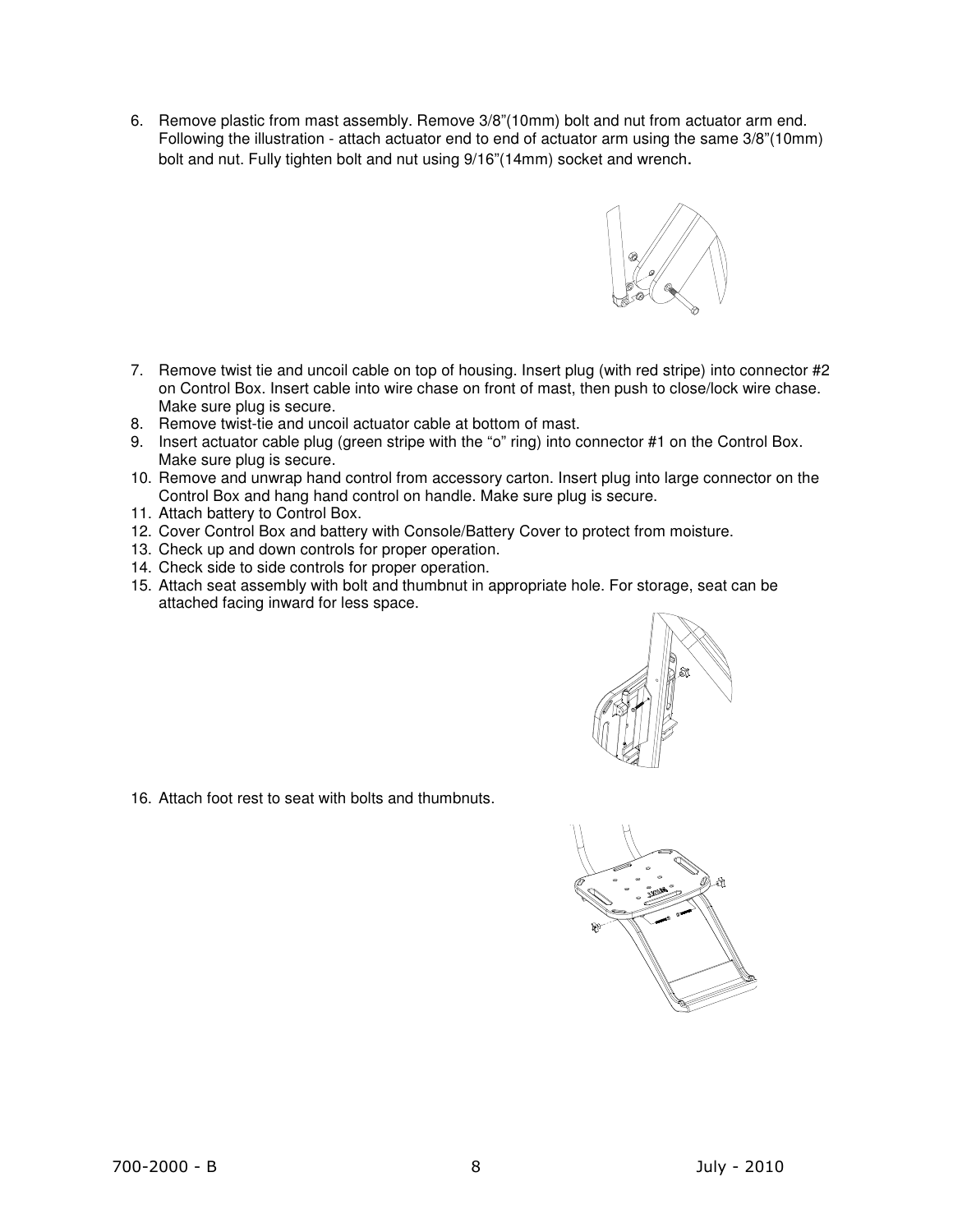6. Remove plastic from mast assembly. Remove 3/8"(10mm) bolt and nut from actuator arm end. Following the illustration - attach actuator end to end of actuator arm using the same 3/8"(10mm) bolt and nut. Fully tighten bolt and nut using 9/16"(14mm) socket and wrench.



- 7. Remove twist tie and uncoil cable on top of housing. Insert plug (with red stripe) into connector #2 on Control Box. Insert cable into wire chase on front of mast, then push to close/lock wire chase. Make sure plug is secure.
- 8. Remove twist-tie and uncoil actuator cable at bottom of mast.
- 9. Insert actuator cable plug (green stripe with the "o" ring) into connector #1 on the Control Box. Make sure plug is secure.
- 10. Remove and unwrap hand control from accessory carton. Insert plug into large connector on the Control Box and hang hand control on handle. Make sure plug is secure.
- 11. Attach battery to Control Box.
- 12. Cover Control Box and battery with Console/Battery Cover to protect from moisture.
- 13. Check up and down controls for proper operation.
- 14. Check side to side controls for proper operation.
- 15. Attach seat assembly with bolt and thumbnut in appropriate hole. For storage, seat can be attached facing inward for less space.



16. Attach foot rest to seat with bolts and thumbnuts.

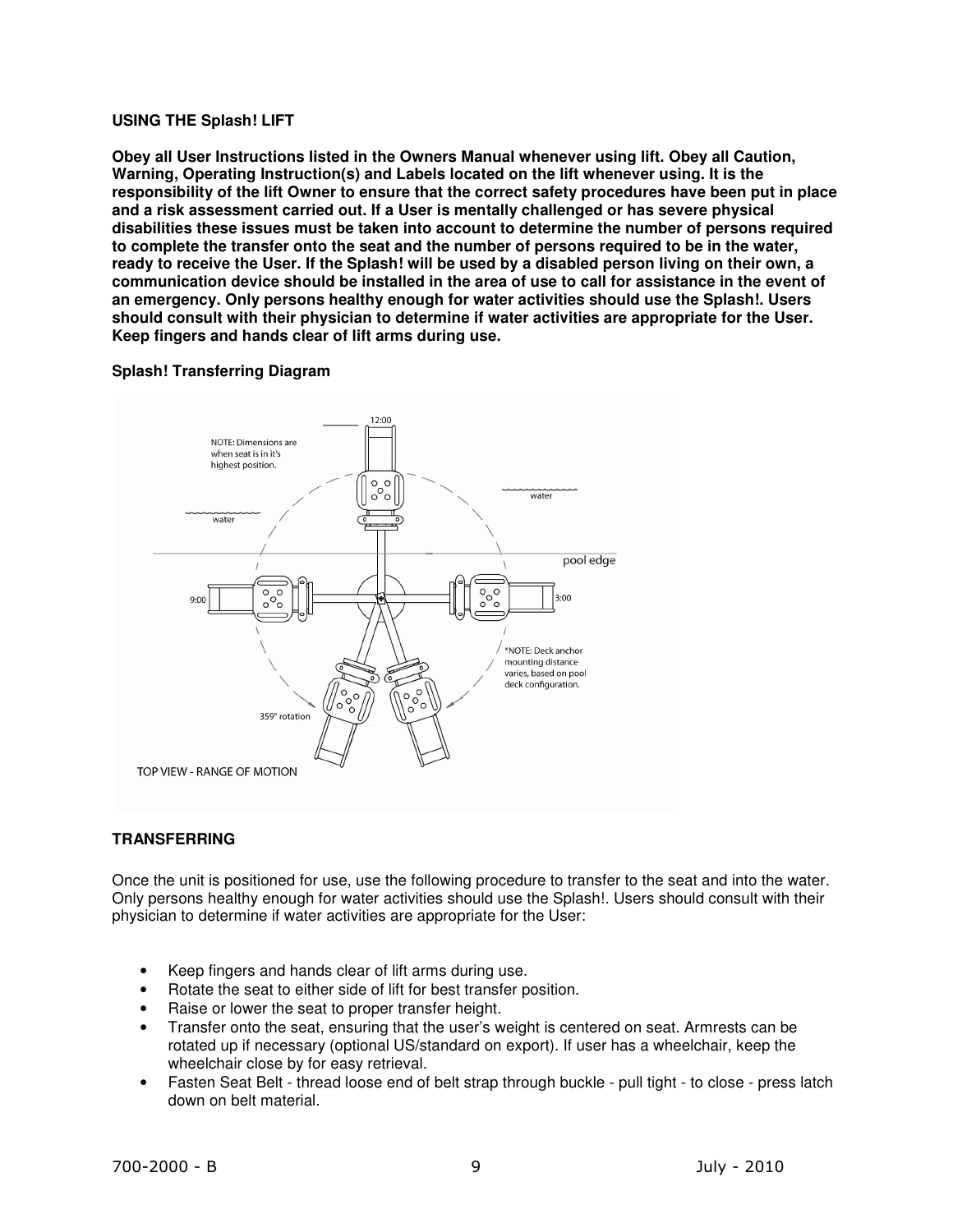## **USING THE Splash! LIFT**

**Obey all User Instructions listed in the Owners Manual whenever using lift. Obey all Caution, Warning, Operating Instruction(s) and Labels located on the lift whenever using. It is the responsibility of the lift Owner to ensure that the correct safety procedures have been put in place and a risk assessment carried out. If a User is mentally challenged or has severe physical disabilities these issues must be taken into account to determine the number of persons required to complete the transfer onto the seat and the number of persons required to be in the water, ready to receive the User. If the Splash! will be used by a disabled person living on their own, a communication device should be installed in the area of use to call for assistance in the event of an emergency. Only persons healthy enough for water activities should use the Splash!. Users should consult with their physician to determine if water activities are appropriate for the User. Keep fingers and hands clear of lift arms during use.** 

## **Splash! Transferring Diagram**



## **TRANSFERRING**

Once the unit is positioned for use, use the following procedure to transfer to the seat and into the water. Only persons healthy enough for water activities should use the Splash!. Users should consult with their physician to determine if water activities are appropriate for the User:

- Keep fingers and hands clear of lift arms during use.
- Rotate the seat to either side of lift for best transfer position.
- Raise or lower the seat to proper transfer height.
- Transfer onto the seat, ensuring that the user's weight is centered on seat. Armrests can be rotated up if necessary (optional US/standard on export). If user has a wheelchair, keep the wheelchair close by for easy retrieval.
- Fasten Seat Belt thread loose end of belt strap through buckle pull tight to close press latch down on belt material.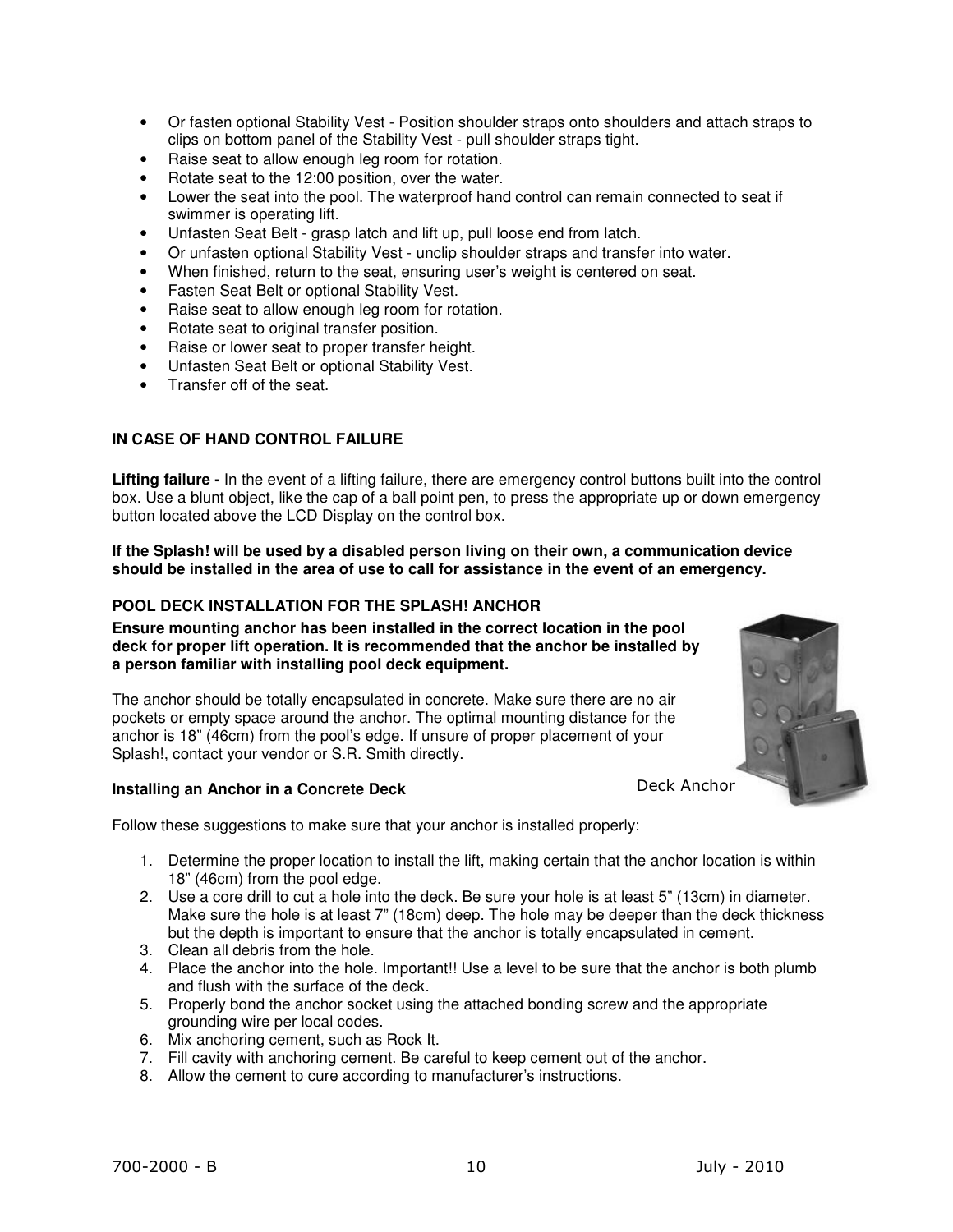- Or fasten optional Stability Vest Position shoulder straps onto shoulders and attach straps to clips on bottom panel of the Stability Vest - pull shoulder straps tight.
- Raise seat to allow enough leg room for rotation.
- Rotate seat to the 12:00 position, over the water.
- Lower the seat into the pool. The waterproof hand control can remain connected to seat if swimmer is operating lift.
- Unfasten Seat Belt grasp latch and lift up, pull loose end from latch.
- Or unfasten optional Stability Vest unclip shoulder straps and transfer into water.
- When finished, return to the seat, ensuring user's weight is centered on seat.
- Fasten Seat Belt or optional Stability Vest.
- Raise seat to allow enough leg room for rotation.
- Rotate seat to original transfer position.
- Raise or lower seat to proper transfer height.
- Unfasten Seat Belt or optional Stability Vest.
- Transfer off of the seat.

## **IN CASE OF HAND CONTROL FAILURE**

**Lifting failure -** In the event of a lifting failure, there are emergency control buttons built into the control box. Use a blunt object, like the cap of a ball point pen, to press the appropriate up or down emergency button located above the LCD Display on the control box.

#### **If the Splash! will be used by a disabled person living on their own, a communication device should be installed in the area of use to call for assistance in the event of an emergency.**

## **POOL DECK INSTALLATION FOR THE SPLASH! ANCHOR**

**Ensure mounting anchor has been installed in the correct location in the pool deck for proper lift operation. It is recommended that the anchor be installed by a person familiar with installing pool deck equipment.** 

The anchor should be totally encapsulated in concrete. Make sure there are no air pockets or empty space around the anchor. The optimal mounting distance for the anchor is 18" (46cm) from the pool's edge. If unsure of proper placement of your Splash!, contact your vendor or S.R. Smith directly.

#### **Installing an Anchor in a Concrete Deck**

Deck Anchor

Follow these suggestions to make sure that your anchor is installed properly:

- 1. Determine the proper location to install the lift, making certain that the anchor location is within 18" (46cm) from the pool edge.
- 2. Use a core drill to cut a hole into the deck. Be sure your hole is at least 5" (13cm) in diameter. Make sure the hole is at least 7" (18cm) deep. The hole may be deeper than the deck thickness but the depth is important to ensure that the anchor is totally encapsulated in cement.
- 3. Clean all debris from the hole.
- 4. Place the anchor into the hole. Important!! Use a level to be sure that the anchor is both plumb and flush with the surface of the deck.
- 5. Properly bond the anchor socket using the attached bonding screw and the appropriate grounding wire per local codes.
- 6. Mix anchoring cement, such as Rock It.
- 7. Fill cavity with anchoring cement. Be careful to keep cement out of the anchor.
- 8. Allow the cement to cure according to manufacturer's instructions.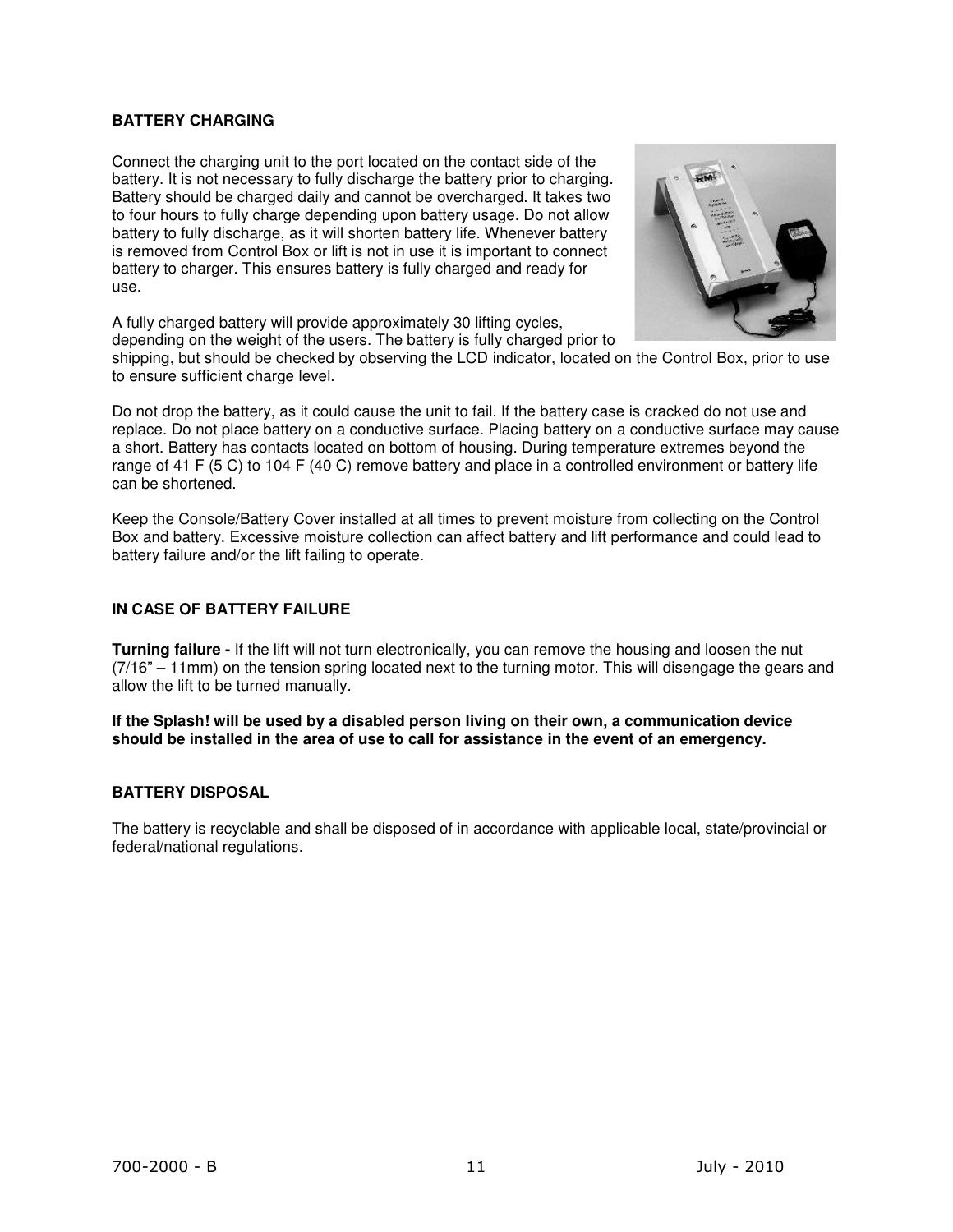## **BATTERY CHARGING**

Connect the charging unit to the port located on the contact side of the battery. It is not necessary to fully discharge the battery prior to charging. Battery should be charged daily and cannot be overcharged. It takes two to four hours to fully charge depending upon battery usage. Do not allow battery to fully discharge, as it will shorten battery life. Whenever battery is removed from Control Box or lift is not in use it is important to connect battery to charger. This ensures battery is fully charged and ready for use.



A fully charged battery will provide approximately 30 lifting cycles, depending on the weight of the users. The battery is fully charged prior to

shipping, but should be checked by observing the LCD indicator, located on the Control Box, prior to use to ensure sufficient charge level.

Do not drop the battery, as it could cause the unit to fail. If the battery case is cracked do not use and replace. Do not place battery on a conductive surface. Placing battery on a conductive surface may cause a short. Battery has contacts located on bottom of housing. During temperature extremes beyond the range of 41 F (5 C) to 104 F (40 C) remove battery and place in a controlled environment or battery life can be shortened.

Keep the Console/Battery Cover installed at all times to prevent moisture from collecting on the Control Box and battery. Excessive moisture collection can affect battery and lift performance and could lead to battery failure and/or the lift failing to operate.

## **IN CASE OF BATTERY FAILURE**

**Turning failure -** If the lift will not turn electronically, you can remove the housing and loosen the nut (7/16" – 11mm) on the tension spring located next to the turning motor. This will disengage the gears and allow the lift to be turned manually.

**If the Splash! will be used by a disabled person living on their own, a communication device should be installed in the area of use to call for assistance in the event of an emergency.**

#### **BATTERY DISPOSAL**

The battery is recyclable and shall be disposed of in accordance with applicable local, state/provincial or federal/national regulations.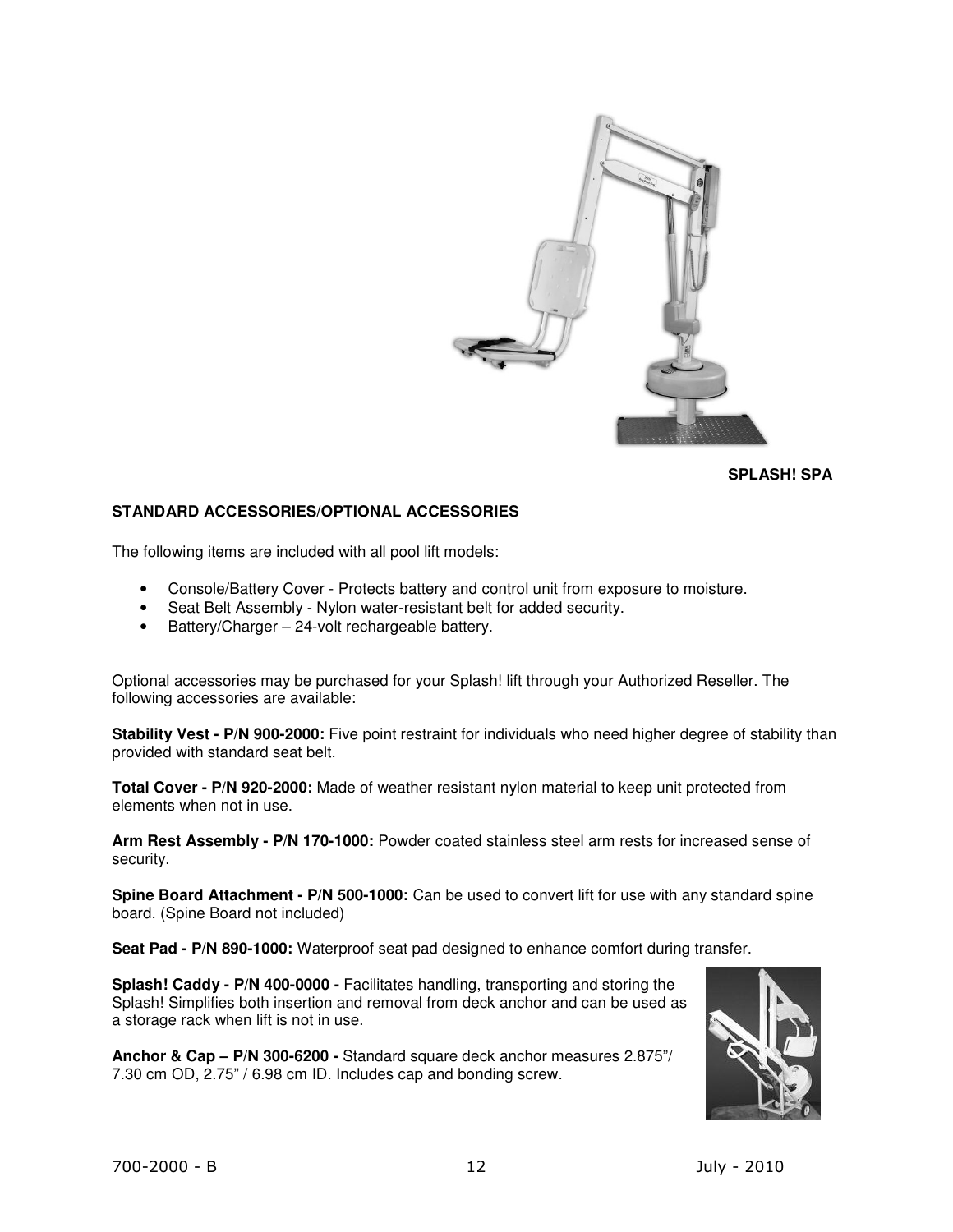

**SPLASH! SPA** 

## **STANDARD ACCESSORIES/OPTIONAL ACCESSORIES**

The following items are included with all pool lift models:

- Console/Battery Cover Protects battery and control unit from exposure to moisture.
- Seat Belt Assembly Nylon water-resistant belt for added security.
- Battery/Charger 24-volt rechargeable battery.

Optional accessories may be purchased for your Splash! lift through your Authorized Reseller. The following accessories are available:

**Stability Vest - P/N 900-2000:** Five point restraint for individuals who need higher degree of stability than provided with standard seat belt.

**Total Cover - P/N 920-2000:** Made of weather resistant nylon material to keep unit protected from elements when not in use.

**Arm Rest Assembly - P/N 170-1000:** Powder coated stainless steel arm rests for increased sense of security.

**Spine Board Attachment - P/N 500-1000:** Can be used to convert lift for use with any standard spine board. (Spine Board not included)

**Seat Pad - P/N 890-1000:** Waterproof seat pad designed to enhance comfort during transfer.

**Splash! Caddy - P/N 400-0000 -** Facilitates handling, transporting and storing the Splash! Simplifies both insertion and removal from deck anchor and can be used as a storage rack when lift is not in use.

**Anchor & Cap – P/N 300-6200 -** Standard square deck anchor measures 2.875"/ 7.30 cm OD, 2.75" / 6.98 cm ID. Includes cap and bonding screw.

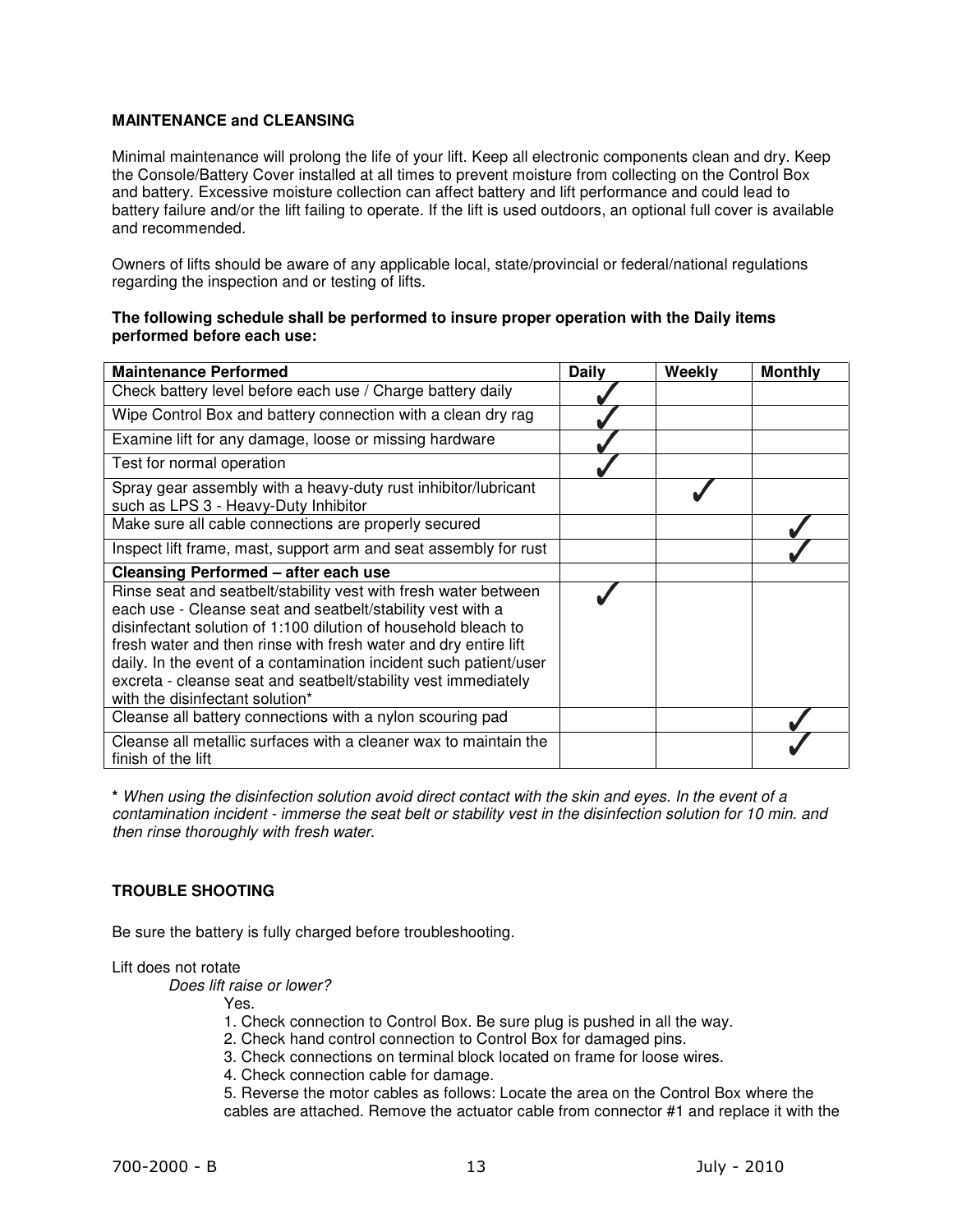## **MAINTENANCE and CLEANSING**

Minimal maintenance will prolong the life of your lift. Keep all electronic components clean and dry. Keep the Console/Battery Cover installed at all times to prevent moisture from collecting on the Control Box and battery. Excessive moisture collection can affect battery and lift performance and could lead to battery failure and/or the lift failing to operate. If the lift is used outdoors, an optional full cover is available and recommended.

Owners of lifts should be aware of any applicable local, state/provincial or federal/national regulations regarding the inspection and or testing of lifts.

#### **The following schedule shall be performed to insure proper operation with the Daily items performed before each use:**

| <b>Maintenance Performed</b>                                                                                                                                                                                                                                                                                                                                                                                                                 | <b>Daily</b> | Weekly | <b>Monthly</b> |
|----------------------------------------------------------------------------------------------------------------------------------------------------------------------------------------------------------------------------------------------------------------------------------------------------------------------------------------------------------------------------------------------------------------------------------------------|--------------|--------|----------------|
| Check battery level before each use / Charge battery daily                                                                                                                                                                                                                                                                                                                                                                                   |              |        |                |
| Wipe Control Box and battery connection with a clean dry rag                                                                                                                                                                                                                                                                                                                                                                                 |              |        |                |
| Examine lift for any damage, loose or missing hardware                                                                                                                                                                                                                                                                                                                                                                                       |              |        |                |
| Test for normal operation                                                                                                                                                                                                                                                                                                                                                                                                                    |              |        |                |
| Spray gear assembly with a heavy-duty rust inhibitor/lubricant<br>such as LPS 3 - Heavy-Duty Inhibitor                                                                                                                                                                                                                                                                                                                                       |              |        |                |
| Make sure all cable connections are properly secured                                                                                                                                                                                                                                                                                                                                                                                         |              |        |                |
| Inspect lift frame, mast, support arm and seat assembly for rust                                                                                                                                                                                                                                                                                                                                                                             |              |        |                |
| <b>Cleansing Performed - after each use</b>                                                                                                                                                                                                                                                                                                                                                                                                  |              |        |                |
| Rinse seat and seatbelt/stability vest with fresh water between<br>each use - Cleanse seat and seatbelt/stability vest with a<br>disinfectant solution of 1:100 dilution of household bleach to<br>fresh water and then rinse with fresh water and dry entire lift<br>daily. In the event of a contamination incident such patient/user<br>excreta - cleanse seat and seatbelt/stability vest immediately<br>with the disinfectant solution* |              |        |                |
| Cleanse all battery connections with a nylon scouring pad                                                                                                                                                                                                                                                                                                                                                                                    |              |        |                |
| Cleanse all metallic surfaces with a cleaner wax to maintain the<br>finish of the lift                                                                                                                                                                                                                                                                                                                                                       |              |        |                |

**\*** When using the disinfection solution avoid direct contact with the skin and eyes. In the event of a contamination incident - immerse the seat belt or stability vest in the disinfection solution for 10 min. and then rinse thoroughly with fresh water.

## **TROUBLE SHOOTING**

Be sure the battery is fully charged before troubleshooting.

#### Lift does not rotate

Does lift raise or lower?

Yes.

- 1. Check connection to Control Box. Be sure plug is pushed in all the way.
- 2. Check hand control connection to Control Box for damaged pins.
- 3. Check connections on terminal block located on frame for loose wires.
- 4. Check connection cable for damage.

5. Reverse the motor cables as follows: Locate the area on the Control Box where the cables are attached. Remove the actuator cable from connector #1 and replace it with the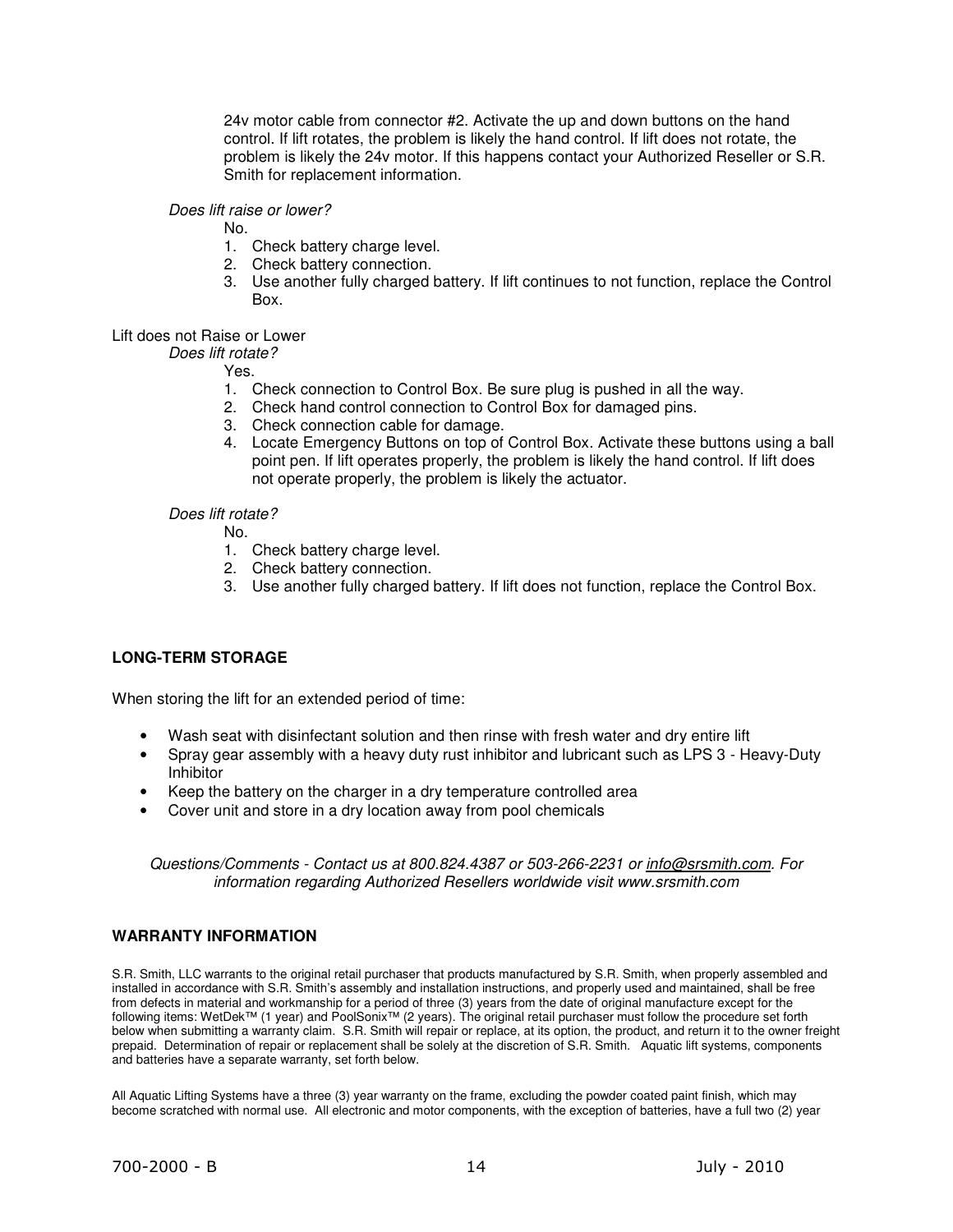24v motor cable from connector #2. Activate the up and down buttons on the hand control. If lift rotates, the problem is likely the hand control. If lift does not rotate, the problem is likely the 24v motor. If this happens contact your Authorized Reseller or S.R. Smith for replacement information.

#### Does lift raise or lower?

No.

- 1. Check battery charge level.
- 2. Check battery connection.
- 3. Use another fully charged battery. If lift continues to not function, replace the Control Box.

#### Lift does not Raise or Lower

Does lift rotate?

Yes.

- 1. Check connection to Control Box. Be sure plug is pushed in all the way.
- 2. Check hand control connection to Control Box for damaged pins.
- 3. Check connection cable for damage.
- 4. Locate Emergency Buttons on top of Control Box. Activate these buttons using a ball point pen. If lift operates properly, the problem is likely the hand control. If lift does not operate properly, the problem is likely the actuator.

#### Does lift rotate?

- No.
	- 1. Check battery charge level.
	- 2. Check battery connection.
	- 3. Use another fully charged battery. If lift does not function, replace the Control Box.

## **LONG-TERM STORAGE**

When storing the lift for an extended period of time:

- Wash seat with disinfectant solution and then rinse with fresh water and dry entire lift
- Spray gear assembly with a heavy duty rust inhibitor and lubricant such as LPS 3 Heavy-Duty Inhibitor
- Keep the battery on the charger in a dry temperature controlled area
- Cover unit and store in a dry location away from pool chemicals

Questions/Comments - Contact us at 800.824.4387 or 503-266-2231 or info@srsmith.com. For information regarding Authorized Resellers worldwide visit www.srsmith.com

#### **WARRANTY INFORMATION**

S.R. Smith, LLC warrants to the original retail purchaser that products manufactured by S.R. Smith, when properly assembled and installed in accordance with S.R. Smith's assembly and installation instructions, and properly used and maintained, shall be free from defects in material and workmanship for a period of three (3) years from the date of original manufacture except for the following items: WetDek™ (1 year) and PoolSonix™ (2 years). The original retail purchaser must follow the procedure set forth below when submitting a warranty claim. S.R. Smith will repair or replace, at its option, the product, and return it to the owner freight prepaid. Determination of repair or replacement shall be solely at the discretion of S.R. Smith. Aquatic lift systems, components and batteries have a separate warranty, set forth below.

All Aquatic Lifting Systems have a three (3) year warranty on the frame, excluding the powder coated paint finish, which may become scratched with normal use. All electronic and motor components, with the exception of batteries, have a full two (2) year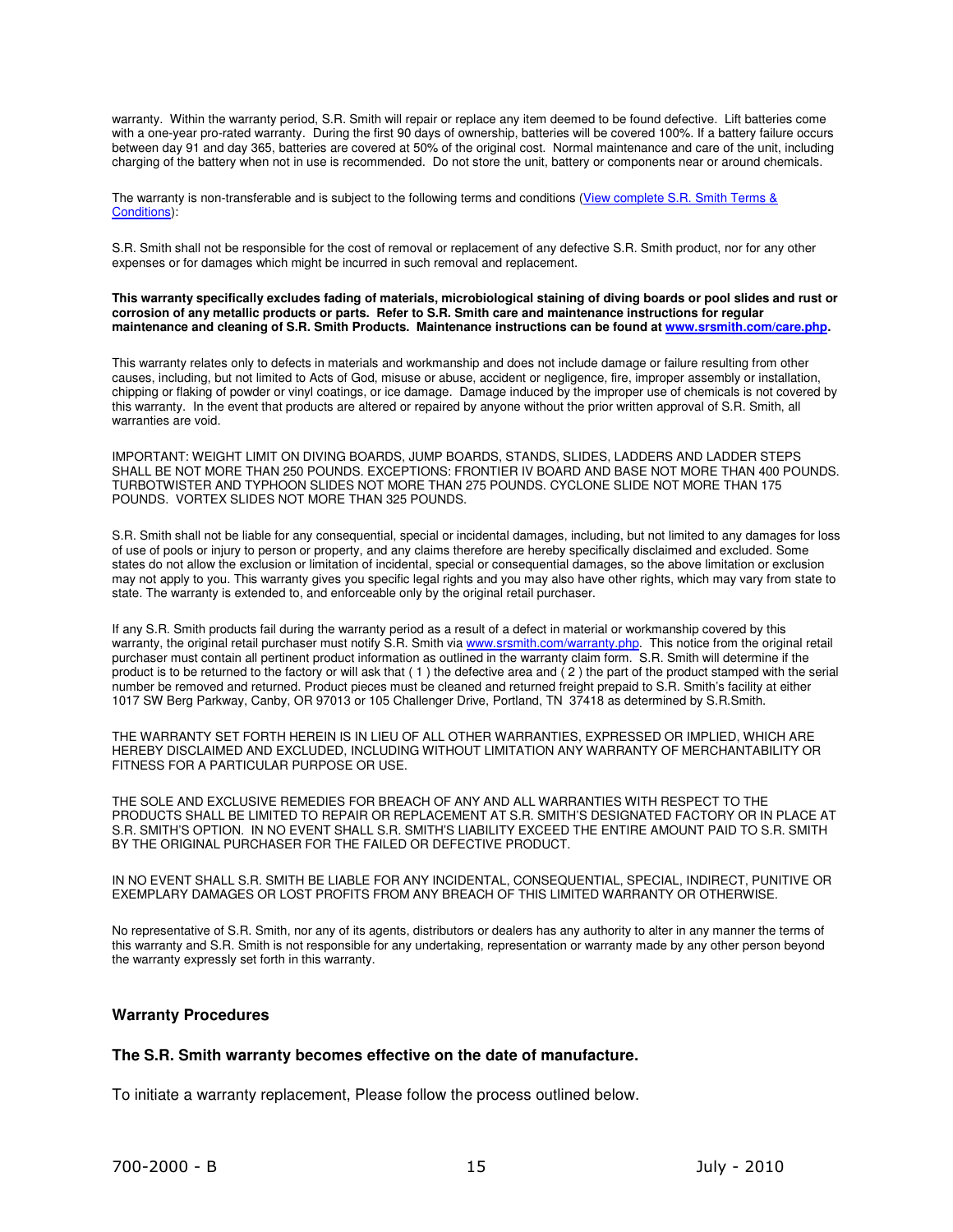warranty. Within the warranty period, S.R. Smith will repair or replace any item deemed to be found defective. Lift batteries come with a one-year pro-rated warranty. During the first 90 days of ownership, batteries will be covered 100%. If a battery failure occurs between day 91 and day 365, batteries are covered at 50% of the original cost. Normal maintenance and care of the unit, including charging of the battery when not in use is recommended. Do not store the unit, battery or components near or around chemicals.

The warranty is non-transferable and is subject to the following terms and conditions (View complete S.R. Smith Terms & Conditions):

S.R. Smith shall not be responsible for the cost of removal or replacement of any defective S.R. Smith product, nor for any other expenses or for damages which might be incurred in such removal and replacement.

**This warranty specifically excludes fading of materials, microbiological staining of diving boards or pool slides and rust or corrosion of any metallic products or parts. Refer to S.R. Smith care and maintenance instructions for regular maintenance and cleaning of S.R. Smith Products. Maintenance instructions can be found at www.srsmith.com/care.php.**

This warranty relates only to defects in materials and workmanship and does not include damage or failure resulting from other causes, including, but not limited to Acts of God, misuse or abuse, accident or negligence, fire, improper assembly or installation, chipping or flaking of powder or vinyl coatings, or ice damage. Damage induced by the improper use of chemicals is not covered by this warranty. In the event that products are altered or repaired by anyone without the prior written approval of S.R. Smith, all warranties are void.

IMPORTANT: WEIGHT LIMIT ON DIVING BOARDS, JUMP BOARDS, STANDS, SLIDES, LADDERS AND LADDER STEPS SHALL BE NOT MORE THAN 250 POUNDS. EXCEPTIONS: FRONTIER IV BOARD AND BASE NOT MORE THAN 400 POUNDS. TURBOTWISTER AND TYPHOON SLIDES NOT MORE THAN 275 POUNDS. CYCLONE SLIDE NOT MORE THAN 175 POUNDS. VORTEX SLIDES NOT MORE THAN 325 POUNDS.

S.R. Smith shall not be liable for any consequential, special or incidental damages, including, but not limited to any damages for loss of use of pools or injury to person or property, and any claims therefore are hereby specifically disclaimed and excluded. Some states do not allow the exclusion or limitation of incidental, special or consequential damages, so the above limitation or exclusion may not apply to you. This warranty gives you specific legal rights and you may also have other rights, which may vary from state to state. The warranty is extended to, and enforceable only by the original retail purchaser.

If any S.R. Smith products fail during the warranty period as a result of a defect in material or workmanship covered by this warranty, the original retail purchaser must notify S.R. Smith via www.srsmith.com/warranty.php. This notice from the original retail purchaser must contain all pertinent product information as outlined in the warranty claim form. S.R. Smith will determine if the product is to be returned to the factory or will ask that ( 1 ) the defective area and ( 2 ) the part of the product stamped with the serial number be removed and returned. Product pieces must be cleaned and returned freight prepaid to S.R. Smith's facility at either 1017 SW Berg Parkway, Canby, OR 97013 or 105 Challenger Drive, Portland, TN 37418 as determined by S.R.Smith.

THE WARRANTY SET FORTH HEREIN IS IN LIEU OF ALL OTHER WARRANTIES, EXPRESSED OR IMPLIED, WHICH ARE HEREBY DISCLAIMED AND EXCLUDED, INCLUDING WITHOUT LIMITATION ANY WARRANTY OF MERCHANTABILITY OR FITNESS FOR A PARTICULAR PURPOSE OR USE.

THE SOLE AND EXCLUSIVE REMEDIES FOR BREACH OF ANY AND ALL WARRANTIES WITH RESPECT TO THE PRODUCTS SHALL BE LIMITED TO REPAIR OR REPLACEMENT AT S.R. SMITH'S DESIGNATED FACTORY OR IN PLACE AT S.R. SMITH'S OPTION. IN NO EVENT SHALL S.R. SMITH'S LIABILITY EXCEED THE ENTIRE AMOUNT PAID TO S.R. SMITH BY THE ORIGINAL PURCHASER FOR THE FAILED OR DEFECTIVE PRODUCT.

IN NO EVENT SHALL S.R. SMITH BE LIABLE FOR ANY INCIDENTAL, CONSEQUENTIAL, SPECIAL, INDIRECT, PUNITIVE OR EXEMPLARY DAMAGES OR LOST PROFITS FROM ANY BREACH OF THIS LIMITED WARRANTY OR OTHERWISE.

No representative of S.R. Smith, nor any of its agents, distributors or dealers has any authority to alter in any manner the terms of this warranty and S.R. Smith is not responsible for any undertaking, representation or warranty made by any other person beyond the warranty expressly set forth in this warranty.

#### **Warranty Procedures**

#### **The S.R. Smith warranty becomes effective on the date of manufacture.**

To initiate a warranty replacement, Please follow the process outlined below.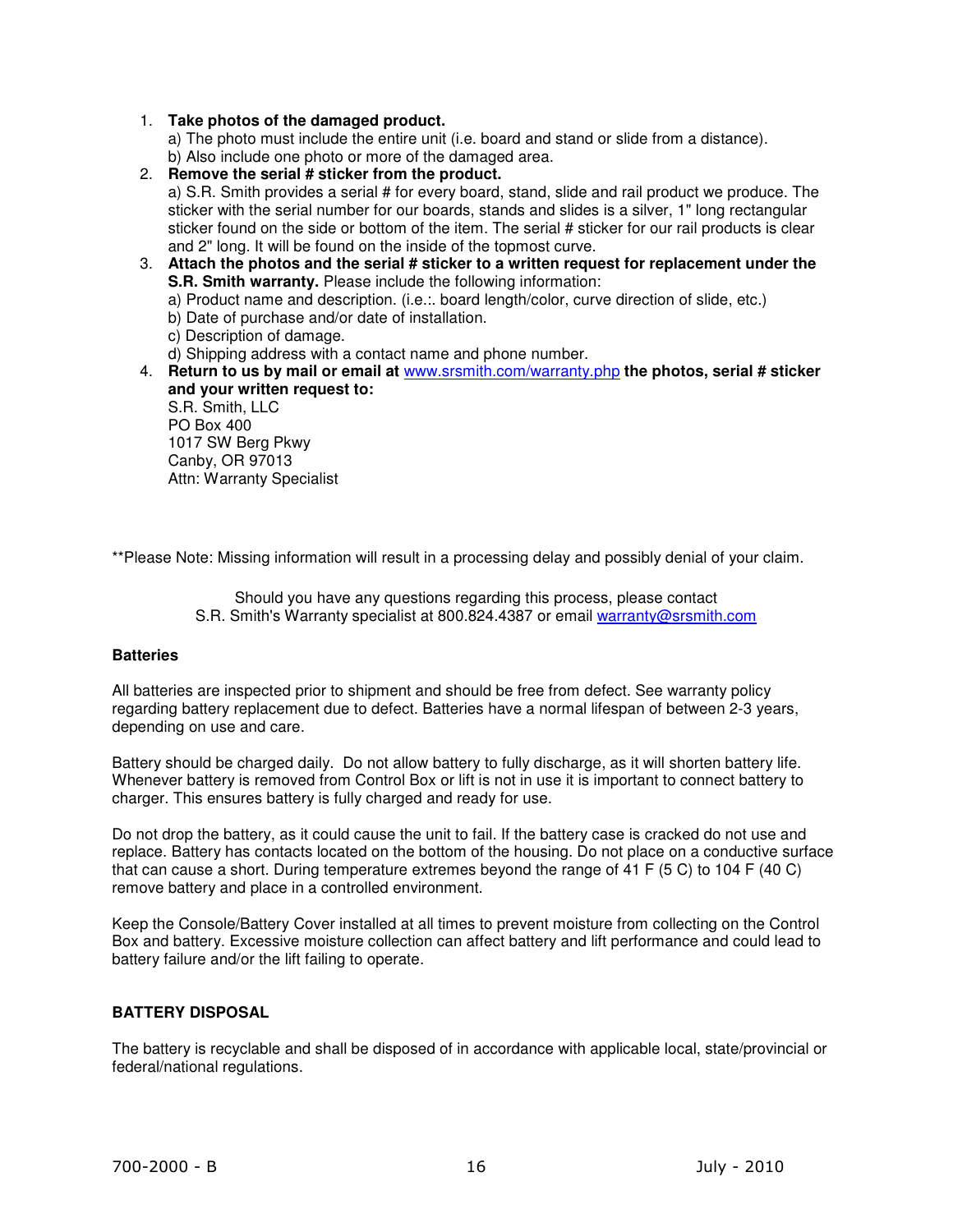## 1. **Take photos of the damaged product.**

a) The photo must include the entire unit (i.e. board and stand or slide from a distance). b) Also include one photo or more of the damaged area.

2. **Remove the serial # sticker from the product.** a) S.R. Smith provides a serial # for every board, stand, slide and rail product we produce. The sticker with the serial number for our boards, stands and slides is a silver, 1" long rectangular sticker found on the side or bottom of the item. The serial # sticker for our rail products is clear and 2" long. It will be found on the inside of the topmost curve.

3. **Attach the photos and the serial # sticker to a written request for replacement under the S.R. Smith warranty.** Please include the following information: a) Product name and description. (i.e.:. board length/color, curve direction of slide, etc.)

b) Date of purchase and/or date of installation.

c) Description of damage.

d) Shipping address with a contact name and phone number.

4. **Return to us by mail or email at** www.srsmith.com/warranty.php **the photos, serial # sticker and your written request to:**

S.R. Smith, LLC PO Box 400 1017 SW Berg Pkwy Canby, OR 97013 Attn: Warranty Specialist

\*\*Please Note: Missing information will result in a processing delay and possibly denial of your claim.

Should you have any questions regarding this process, please contact S.R. Smith's Warranty specialist at 800.824.4387 or email warranty@srsmith.com

#### **Batteries**

All batteries are inspected prior to shipment and should be free from defect. See warranty policy regarding battery replacement due to defect. Batteries have a normal lifespan of between 2-3 years, depending on use and care.

Battery should be charged daily. Do not allow battery to fully discharge, as it will shorten battery life. Whenever battery is removed from Control Box or lift is not in use it is important to connect battery to charger. This ensures battery is fully charged and ready for use.

Do not drop the battery, as it could cause the unit to fail. If the battery case is cracked do not use and replace. Battery has contacts located on the bottom of the housing. Do not place on a conductive surface that can cause a short. During temperature extremes beyond the range of 41 F (5 C) to 104 F (40 C) remove battery and place in a controlled environment.

Keep the Console/Battery Cover installed at all times to prevent moisture from collecting on the Control Box and battery. Excessive moisture collection can affect battery and lift performance and could lead to battery failure and/or the lift failing to operate.

## **BATTERY DISPOSAL**

The battery is recyclable and shall be disposed of in accordance with applicable local, state/provincial or federal/national regulations.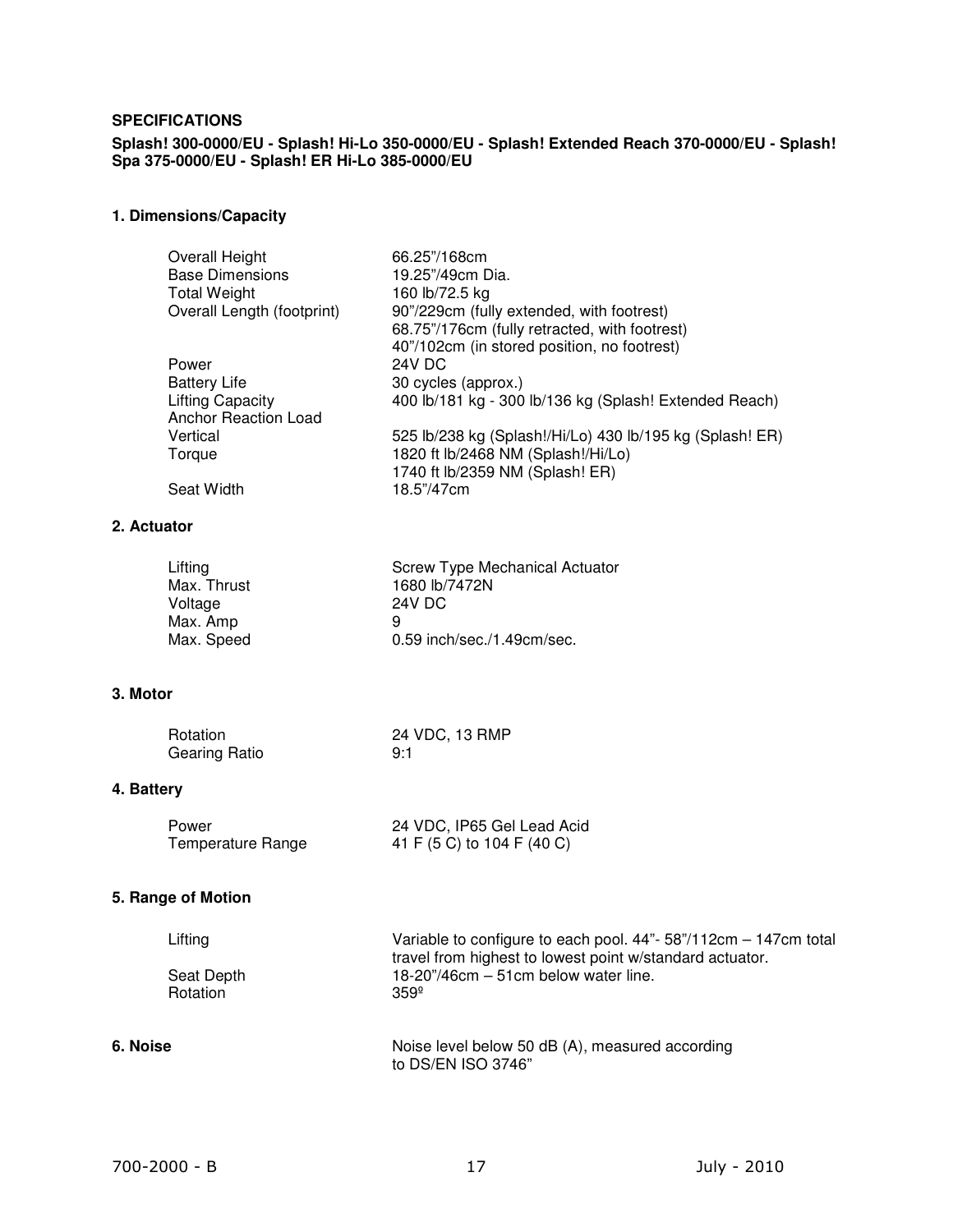#### **SPECIFICATIONS**

**Splash! 300-0000/EU - Splash! Hi-Lo 350-0000/EU - Splash! Extended Reach 370-0000/EU - Splash! Spa 375-0000/EU - Splash! ER Hi-Lo 385-0000/EU** 

# **1. Dimensions/Capacity**

| Overall Height             | 66.25"/168cm                                             |
|----------------------------|----------------------------------------------------------|
| <b>Base Dimensions</b>     | 19.25"/49cm Dia.                                         |
| <b>Total Weight</b>        | 160 lb/72.5 kg                                           |
| Overall Length (footprint) | 90"/229cm (fully extended, with footrest)                |
|                            | 68.75"/176cm (fully retracted, with footrest)            |
|                            | 40"/102cm (in stored position, no footrest)              |
| Power                      | <b>24V DC</b>                                            |
| <b>Battery Life</b>        | 30 cycles (approx.)                                      |
| <b>Lifting Capacity</b>    | 400 lb/181 kg - 300 lb/136 kg (Splash! Extended Reach)   |
| Anchor Reaction Load       |                                                          |
| Vertical                   | 525 lb/238 kg (Splash!/Hi/Lo) 430 lb/195 kg (Splash! ER) |
| Torque                     | 1820 ft lb/2468 NM (Splash!/Hi/Lo)                       |
|                            | 1740 ft lb/2359 NM (Splash! ER)                          |
| <b>Seat Width</b>          | 18.5"/47cm                                               |

## **2. Actuator**

| Lifting     | Screw Type Mechanical Actuator |
|-------------|--------------------------------|
| Max. Thrust | 1680 lb/7472N                  |
| Voltage     | 24V DC                         |
| Max. Amp    | 9                              |
| Max. Speed  | 0.59 inch/sec./1.49cm/sec.     |

## **3. Motor**

| Rotation      | 24 VDC, 13 RMP |
|---------------|----------------|
| Gearing Ratio | 9:1            |

## **4. Battery**

| Power             | 24 VDC, IP65 Gel Lead Acid |
|-------------------|----------------------------|
| Temperature Range | 41 F (5 C) to 104 F (40 C) |

## **5. Range of Motion**

| Lifting    | Variable to configure to each pool. 44"- 58"/112cm - 147cm total |
|------------|------------------------------------------------------------------|
|            | travel from highest to lowest point w/standard actuator.         |
| Seat Depth | $18-20$ "/46cm $-51$ cm below water line.                        |
| Rotation   | $359^{\circ}$                                                    |
|            |                                                                  |

**6. Noise Noise 19. In the set of the United States Constant in Noise level below 50 dB (A), measured according** to DS/EN ISO 3746"